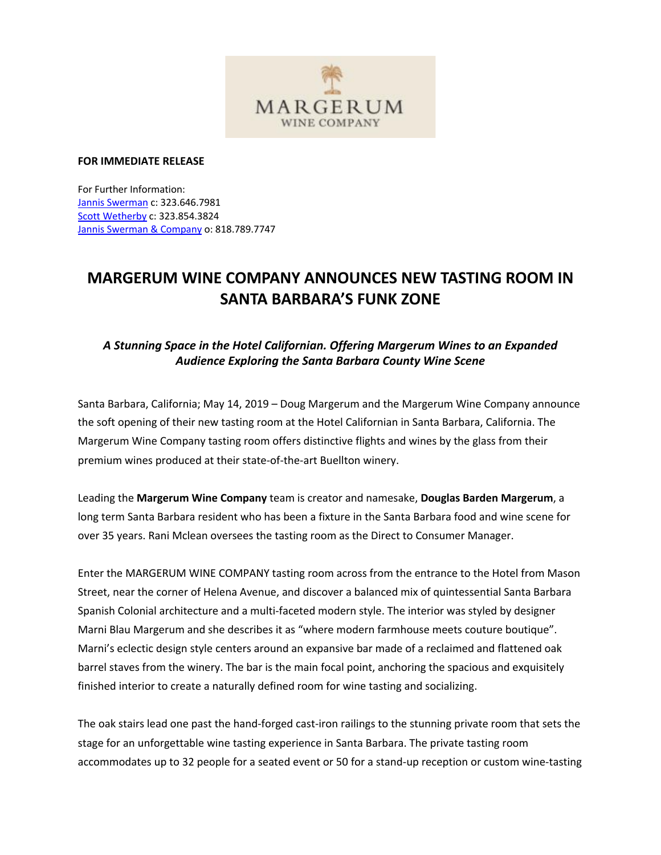

### **FOR IMMEDIATE RELEASE**

For Further Information: Jannis Swerman c: 323.646.7981 Scott Wetherby c: 323.854.3824 Jannis Swerman & Company o: 818.789.7747

# **MARGERUM WINE COMPANY ANNOUNCES NEW TASTING ROOM IN SANTA BARBARA'S FUNK ZONE**

# *A Stunning Space in the Hotel Californian. Offering Margerum Wines to an Expanded Audience Exploring the Santa Barbara County Wine Scene*

Santa Barbara, California; May 14, 2019 – Doug Margerum and the Margerum Wine Company announce the soft opening of their new tasting room at the Hotel Californian in Santa Barbara, California. The Margerum Wine Company tasting room offers distinctive flights and wines by the glass from their premium wines produced at their state-of-the-art Buellton winery.

Leading the **Margerum Wine Company** team is creator and namesake, **Douglas Barden Margerum**, a long term Santa Barbara resident who has been a fixture in the Santa Barbara food and wine scene for over 35 years. Rani Mclean oversees the tasting room as the Direct to Consumer Manager.

Enter the MARGERUM WINE COMPANY tasting room across from the entrance to the Hotel from Mason Street, near the corner of Helena Avenue, and discover a balanced mix of quintessential Santa Barbara Spanish Colonial architecture and a multi-faceted modern style. The interior was styled by designer Marni Blau Margerum and she describes it as "where modern farmhouse meets couture boutique". Marni's eclectic design style centers around an expansive bar made of a reclaimed and flattened oak barrel staves from the winery. The bar is the main focal point, anchoring the spacious and exquisitely finished interior to create a naturally defined room for wine tasting and socializing.

The oak stairs lead one past the hand-forged cast-iron railings to the stunning private room that sets the stage for an unforgettable wine tasting experience in Santa Barbara. The private tasting room accommodates up to 32 people for a seated event or 50 for a stand-up reception or custom wine-tasting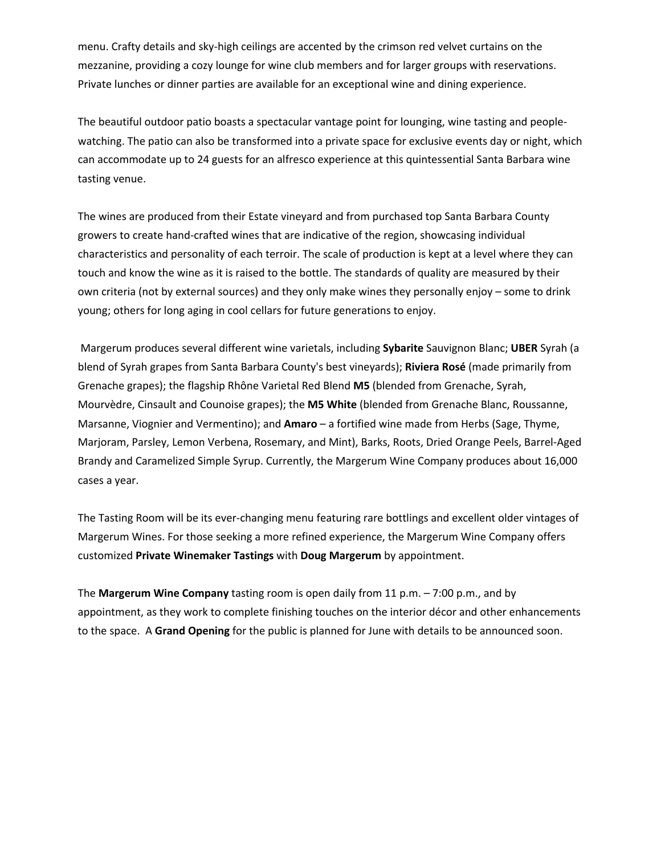menu. Crafty details and sky-high ceilings are accented by the crimson red velvet curtains on the mezzanine, providing a cozy lounge for wine club members and for larger groups with reservations. Private lunches or dinner parties are available for an exceptional wine and dining experience.

The beautiful outdoor patio boasts a spectacular vantage point for lounging, wine tasting and peoplewatching. The patio can also be transformed into a private space for exclusive events day or night, which can accommodate up to 24 guests for an alfresco experience at this quintessential Santa Barbara wine tasting venue.

The wines are produced from their Estate vineyard and from purchased top Santa Barbara County growers to create hand-crafted wines that are indicative of the region, showcasing individual characteristics and personality of each terroir. The scale of production is kept at a level where they can touch and know the wine as it is raised to the bottle. The standards of quality are measured by their own criteria (not by external sources) and they only make wines they personally enjoy – some to drink young; others for long aging in cool cellars for future generations to enjoy.

Margerum produces several different wine varietals, including **Sybarite** Sauvignon Blanc; **UBER** Syrah (a blend of Syrah grapes from Santa Barbara County's best vineyards); **Riviera Rosé** (made primarily from Grenache grapes); the flagship Rhône Varietal Red Blend **M5** (blended from Grenache, Syrah, Mourvèdre, Cinsault and Counoise grapes); the **M5 White** (blended from Grenache Blanc, Roussanne, Marsanne, Viognier and Vermentino); and **Amaro** – a fortified wine made from Herbs (Sage, Thyme, Marjoram, Parsley, Lemon Verbena, Rosemary, and Mint), Barks, Roots, Dried Orange Peels, Barrel-Aged Brandy and Caramelized Simple Syrup. Currently, the Margerum Wine Company produces about 16,000 cases a year.

The Tasting Room will be its ever-changing menu featuring rare bottlings and excellent older vintages of Margerum Wines. For those seeking a more refined experience, the Margerum Wine Company offers customized **Private Winemaker Tastings** with **Doug Margerum** by appointment.

The **Margerum Wine Company** tasting room is open daily from 11 p.m. – 7:00 p.m., and by appointment, as they work to complete finishing touches on the interior décor and other enhancements to the space. A **Grand Opening** for the public is planned for June with details to be announced soon.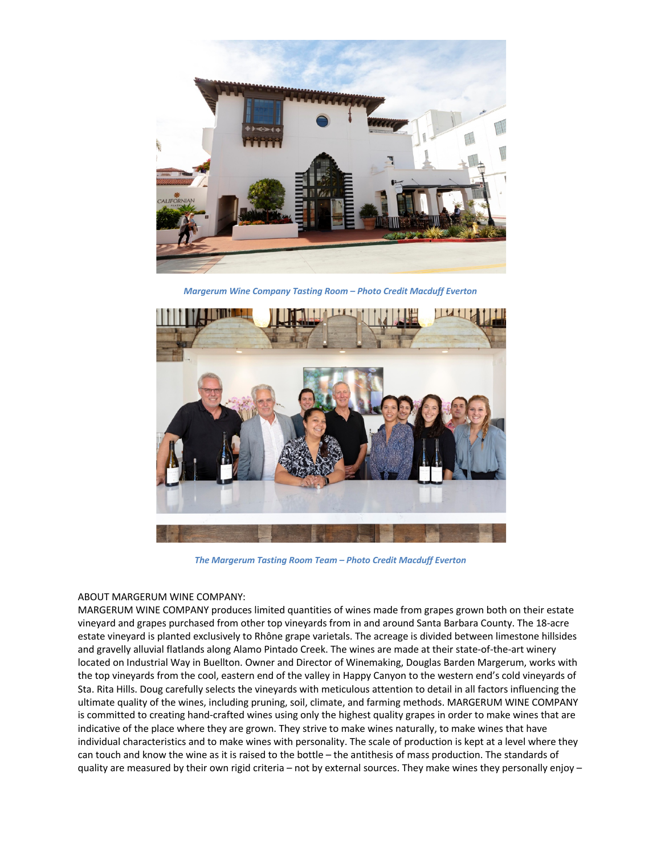

*Margerum Wine Company Tasting Room – Photo Credit Macduff Everton*



*The Margerum Tasting Room Team – Photo Credit Macduff Everton*

#### ABOUT MARGERUM WINE COMPANY:

MARGERUM WINE COMPANY produces limited quantities of wines made from grapes grown both on their estate vineyard and grapes purchased from other top vineyards from in and around Santa Barbara County. The 18-acre estate vineyard is planted exclusively to Rhône grape varietals. The acreage is divided between limestone hillsides and gravelly alluvial flatlands along Alamo Pintado Creek. The wines are made at their state-of-the-art winery located on Industrial Way in Buellton. Owner and Director of Winemaking, Douglas Barden Margerum, works with the top vineyards from the cool, eastern end of the valley in Happy Canyon to the western end's cold vineyards of Sta. Rita Hills. Doug carefully selects the vineyards with meticulous attention to detail in all factors influencing the ultimate quality of the wines, including pruning, soil, climate, and farming methods. MARGERUM WINE COMPANY is committed to creating hand-crafted wines using only the highest quality grapes in order to make wines that are indicative of the place where they are grown. They strive to make wines naturally, to make wines that have individual characteristics and to make wines with personality. The scale of production is kept at a level where they can touch and know the wine as it is raised to the bottle – the antithesis of mass production. The standards of quality are measured by their own rigid criteria – not by external sources. They make wines they personally enjoy –